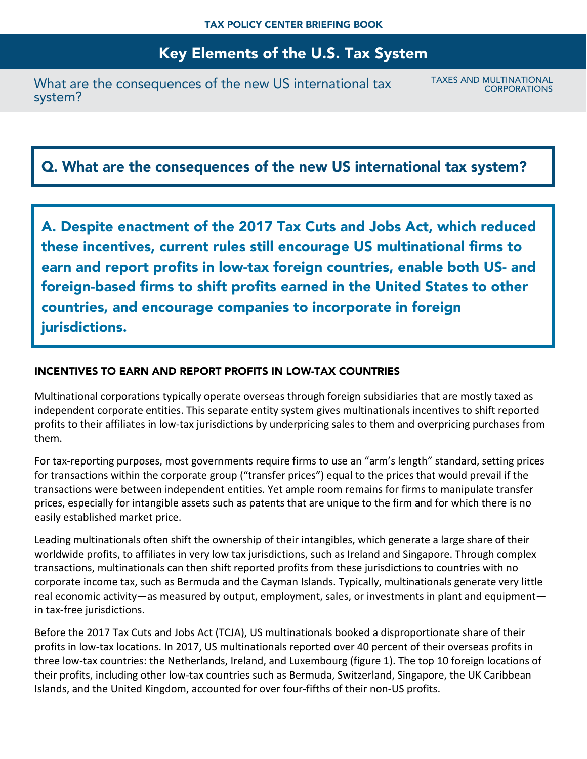What are the consequences of the new US international tax system?

TAXES AND MULTINATIONAL **CORPORATIONS** 

# Q. What are the consequences of the new US international tax system?

A. Despite enactment of the 2017 Tax Cuts and Jobs Act, which reduced these incentives, current rules still encourage US multinational firms to earn and report profits in low-tax foreign countries, enable both US- and foreign-based firms to shift profits earned in the United States to other countries, and encourage companies to incorporate in foreign jurisdictions.

### INCENTIVES TO EARN AND REPORT PROFITS IN LOW-TAX COUNTRIES

Multinational corporations typically operate overseas through foreign subsidiaries that are mostly taxed as independent corporate entities. This separate entity system gives multinationals incentives to shift reported profits to their affiliates in low-tax jurisdictions by underpricing sales to them and overpricing purchases from them.

For tax-reporting purposes, most governments require firms to use an "arm's length" standard, setting prices for transactions within the corporate group ("transfer prices") equal to the prices that would prevail if the transactions were between independent entities. Yet ample room remains for firms to manipulate transfer prices, especially for intangible assets such as patents that are unique to the firm and for which there is no easily established market price.

Leading multinationals often shift the ownership of their intangibles, which generate a large share of their worldwide profits, to affiliates in very low tax jurisdictions, such as Ireland and Singapore. Through complex transactions, multinationals can then shift reported profits from these jurisdictions to countries with no corporate income tax, such as Bermuda and the Cayman Islands. Typically, multinationals generate very little real economic activity—as measured by output, employment, sales, or investments in plant and equipment in tax-free jurisdictions.

Before the 2017 Tax Cuts and Jobs Act (TCJA), US multinationals booked a disproportionate share of their profits in low-tax locations. In 2017, US multinationals reported over 40 percent of their overseas profits in three low-tax countries: the Netherlands, Ireland, and Luxembourg (figure 1). The top 10 foreign locations of their profits, including other low-tax countries such as Bermuda, Switzerland, Singapore, the UK Caribbean Islands, and the United Kingdom, accounted for over four-fifths of their non-US profits.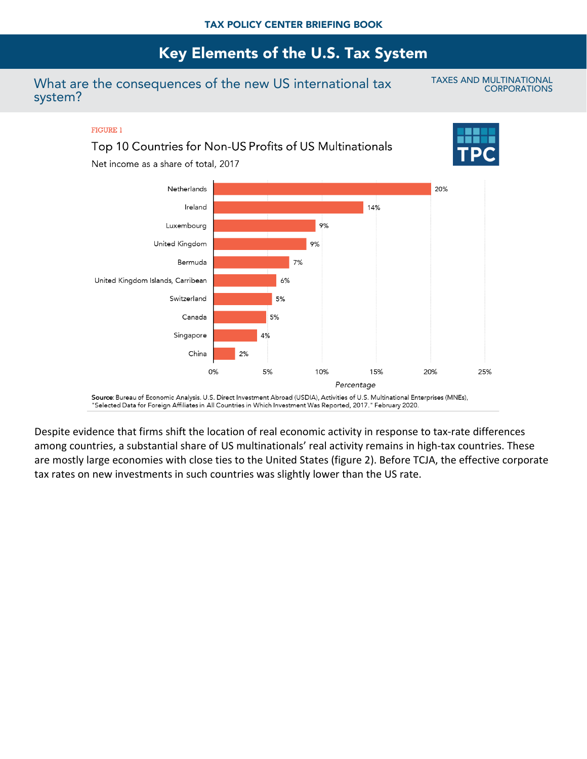### What are the consequences of the new US international tax system?

TAXES AND MULTINATIONAL **CORPORATIONS** 

#### **FIGURE 1**

## Top 10 Countries for Non-US Profits of US Multinationals

Net income as a share of total, 2017





Source: Bureau of Economic Analysis. U.S. Direct Investment Abroad (USDIA), Activities of U.S. Multinational Enterprises (MNEs), "Selected Data for Foreign Affiliates in All Countries in Which Investment Was Reported, 2017." February 2020.

Despite evidence that firms shift the location of real economic activity in response to tax-rate differences among countries, a substantial share of US multinationals' real activity remains in high-tax countries. These are mostly large economies with close ties to the United States (figure 2). Before TCJA, the effective corporate tax rates on new investments in such countries was slightly lower than the US rate.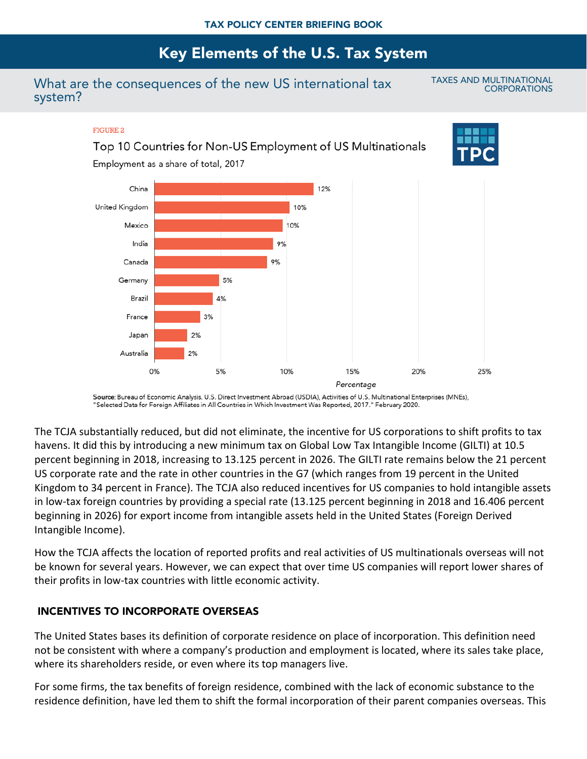### What are the consequences of the new US international tax system?

TAXES AND MULTINATIONAL **CORPORATIONS** 

#### **FIGURE 2**

### Top 10 Countries for Non-US Employment of US Multinationals

Employment as a share of total, 2017





Source: Bureau of Economic Analysis. U.S. Direct Investment Abroad (USDIA), Activities of U.S. Multinational Enterprises (MNEs), "Selected Data for Foreign Affiliates in All Countries in Which Investment Was Reported, 2017." February 2020.

The TCJA substantially reduced, but did not eliminate, the incentive for US corporations to shift profits to tax havens. It did this by introducing a new minimum tax on Global Low Tax Intangible Income (GILTI) at 10.5 percent beginning in 2018, increasing to 13.125 percent in 2026. The GILTI rate remains below the 21 percent US corporate rate and the rate in other countries in the G7 (which ranges from 19 percent in the United Kingdom to 34 percent in France). The TCJA also reduced incentives for US companies to hold intangible assets in low-tax foreign countries by providing a special rate (13.125 percent beginning in 2018 and 16.406 percent beginning in 2026) for export income from intangible assets held in the United States (Foreign Derived Intangible Income).

How the TCJA affects the location of reported profits and real activities of US multinationals overseas will not be known for several years. However, we can expect that over time US companies will report lower shares of their profits in low-tax countries with little economic activity.

### INCENTIVES TO INCORPORATE OVERSEAS

The United States bases its definition of corporate residence on place of incorporation. This definition need not be consistent with where a company's production and employment is located, where its sales take place, where its shareholders reside, or even where its top managers live.

For some firms, the tax benefits of foreign residence, combined with the lack of economic substance to the residence definition, have led them to shift the formal incorporation of their parent companies overseas. This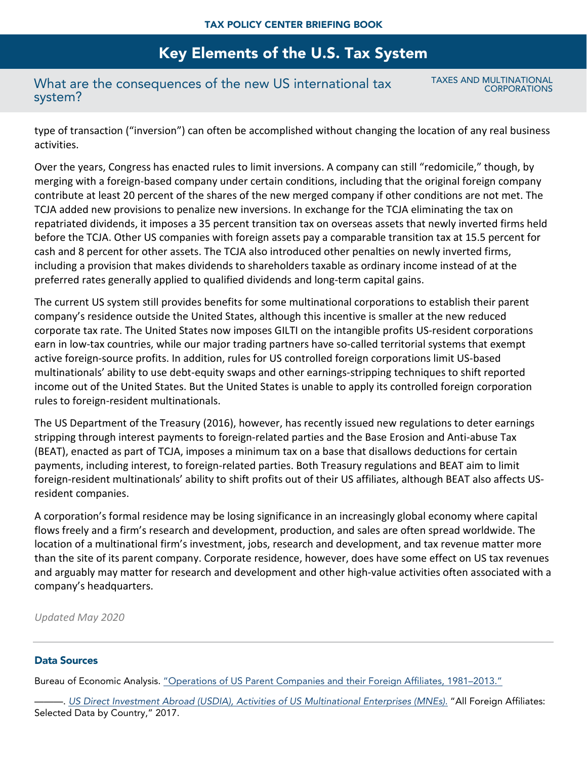### What are the consequences of the new US international tax system?

TAXES AND MULTINATIONAL **CORPORATIONS** 

type of transaction ("inversion") can often be accomplished without changing the location of any real business activities.

Over the years, Congress has enacted rules to limit inversions. A company can still "redomicile," though, by merging with a foreign-based company under certain conditions, including that the original foreign company contribute at least 20 percent of the shares of the new merged company if other conditions are not met. The TCJA added new provisions to penalize new inversions. In exchange for the TCJA eliminating the tax on repatriated dividends, it imposes a 35 percent transition tax on overseas assets that newly inverted firms held before the TCJA. Other US companies with foreign assets pay a comparable transition tax at 15.5 percent for cash and 8 percent for other assets. The TCJA also introduced other penalties on newly inverted firms, including a provision that makes dividends to shareholders taxable as ordinary income instead of at the preferred rates generally applied to qualified dividends and long-term capital gains.

The current US system still provides benefits for some multinational corporations to establish their parent company's residence outside the United States, although this incentive is smaller at the new reduced corporate tax rate. The United States now imposes GILTI on the intangible profits US-resident corporations earn in low-tax countries, while our major trading partners have so-called territorial systems that exempt active foreign-source profits. In addition, rules for US controlled foreign corporations limit US-based multinationals' ability to use debt-equity swaps and other earnings-stripping techniques to shift reported income out of the United States. But the United States is unable to apply its controlled foreign corporation rules to foreign-resident multinationals.

The US Department of the Treasury (2016), however, has recently issued new regulations to deter earnings stripping through interest payments to foreign-related parties and the Base Erosion and Anti-abuse Tax (BEAT), enacted as part of TCJA, imposes a minimum tax on a base that disallows deductions for certain payments, including interest, to foreign-related parties. Both Treasury regulations and BEAT aim to limit foreign-resident multinationals' ability to shift profits out of their US affiliates, although BEAT also affects USresident companies.

A corporation's formal residence may be losing significance in an increasingly global economy where capital flows freely and a firm's research and development, production, and sales are often spread worldwide. The location of a multinational firm's investment, jobs, research and development, and tax revenue matter more than the site of its parent company. Corporate residence, however, does have some effect on US tax revenues and arguably may matter for research and development and other high-value activities often associated with a company's headquarters.

*Updated May 2020*

#### Data Sources

Bureau of Economic Analysis. ["Operations of US Parent Companies and their Foreign Affiliates, 1981–2013."](http://www.bea.gov/scb/account_articles/international/iidguide.htm#page12)

———. *[US Direct Investment Abroad \(USDIA\), Activities of US Multinational Enterprises \(MNEs\)](https://www.bea.gov/international/di1usdop)*. "All Foreign Affiliates: Selected Data by Country," 2017.